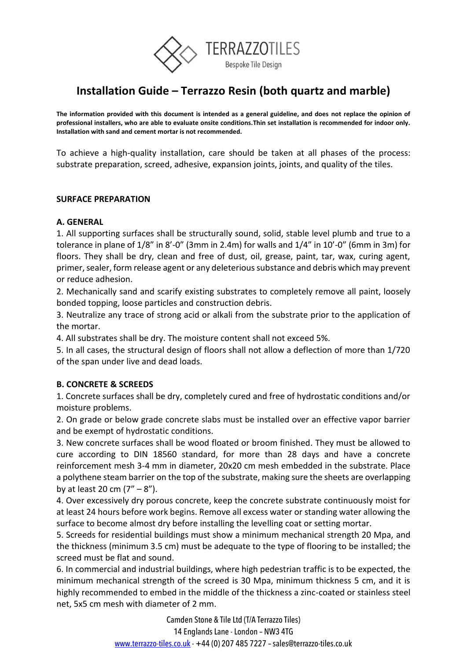

# **Installation Guide – Terrazzo Resin (both quartz and marble)**

**The information provided with this document is intended as a general guideline, and does not replace the opinion of professional installers, who are able to evaluate onsite conditions.Thin set installation is recommended for indoor only. Installation with sand and cement mortar is not recommended.**

To achieve a high-quality installation, care should be taken at all phases of the process: substrate preparation, screed, adhesive, expansion joints, joints, and quality of the tiles.

#### **SURFACE PREPARATION**

#### **A. GENERAL**

1. All supporting surfaces shall be structurally sound, solid, stable level plumb and true to a tolerance in plane of 1/8" in 8'-0" (3mm in 2.4m) for walls and 1/4" in 10'-0" (6mm in 3m) for floors. They shall be dry, clean and free of dust, oil, grease, paint, tar, wax, curing agent, primer, sealer, form release agent or any deleterious substance and debris which may prevent or reduce adhesion.

2. Mechanically sand and scarify existing substrates to completely remove all paint, loosely bonded topping, loose particles and construction debris.

3. Neutralize any trace of strong acid or alkali from the substrate prior to the application of the mortar.

4. All substrates shall be dry. The moisture content shall not exceed 5%.

5. In all cases, the structural design of floors shall not allow a deflection of more than 1/720 of the span under live and dead loads.

# **B. CONCRETE & SCREEDS**

1. Concrete surfaces shall be dry, completely cured and free of hydrostatic conditions and/or moisture problems.

2. On grade or below grade concrete slabs must be installed over an effective vapor barrier and be exempt of hydrostatic conditions.

3. New concrete surfaces shall be wood floated or broom finished. They must be allowed to cure according to DIN 18560 standard, for more than 28 days and have a concrete reinforcement mesh 3-4 mm in diameter, 20x20 cm mesh embedded in the substrate. Place a polythene steam barrier on the top of the substrate, making sure the sheets are overlapping by at least 20 cm  $(7'' - 8'')$ .

4. Over excessively dry porous concrete, keep the concrete substrate continuously moist for at least 24 hours before work begins. Remove all excess water or standing water allowing the surface to become almost dry before installing the levelling coat or setting mortar.

5. Screeds for residential buildings must show a minimum mechanical strength 20 Mpa, and the thickness (minimum 3.5 cm) must be adequate to the type of flooring to be installed; the screed must be flat and sound.

6. In commercial and industrial buildings, where high pedestrian traffic is to be expected, the minimum mechanical strength of the screed is 30 Mpa, minimum thickness 5 cm, and it is highly recommended to embed in the middle of the thickness a zinc-coated or stainless steel net, 5x5 cm mesh with diameter of 2 mm.

> Camden Stone & Tile Ltd (T/A Terrazzo Tiles) 14 Englands Lane -London – NW3 4TG [www.terrazzo-tiles.co.uk](http://www.terrazzo-tiles.co.uk/) - +44 (0) 207 485 7227 - sales@terrazzo-tiles.co.uk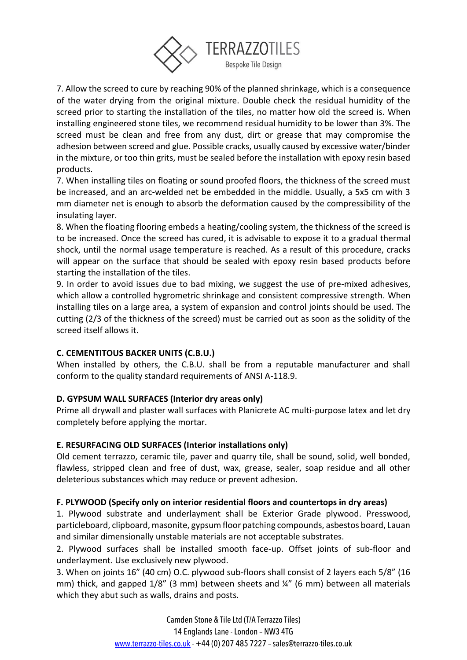

7. Allow the screed to cure by reaching 90% of the planned shrinkage, which is a consequence of the water drying from the original mixture. Double check the residual humidity of the screed prior to starting the installation of the tiles, no matter how old the screed is. When installing engineered stone tiles, we recommend residual humidity to be lower than 3%. The screed must be clean and free from any dust, dirt or grease that may compromise the adhesion between screed and glue. Possible cracks, usually caused by excessive water/binder in the mixture, or too thin grits, must be sealed before the installation with epoxy resin based products.

7. When installing tiles on floating or sound proofed floors, the thickness of the screed must be increased, and an arc-welded net be embedded in the middle. Usually, a 5x5 cm with 3 mm diameter net is enough to absorb the deformation caused by the compressibility of the insulating layer.

8. When the floating flooring embeds a heating/cooling system, the thickness of the screed is to be increased. Once the screed has cured, it is advisable to expose it to a gradual thermal shock, until the normal usage temperature is reached. As a result of this procedure, cracks will appear on the surface that should be sealed with epoxy resin based products before starting the installation of the tiles.

9. In order to avoid issues due to bad mixing, we suggest the use of pre-mixed adhesives, which allow a controlled hygrometric shrinkage and consistent compressive strength. When installing tiles on a large area, a system of expansion and control joints should be used. The cutting (2/3 of the thickness of the screed) must be carried out as soon as the solidity of the screed itself allows it.

# **C. CEMENTITOUS BACKER UNITS (C.B.U.)**

When installed by others, the C.B.U. shall be from a reputable manufacturer and shall conform to the quality standard requirements of ANSI A-118.9.

# **D. GYPSUM WALL SURFACES (Interior dry areas only)**

Prime all drywall and plaster wall surfaces with Planicrete AC multi-purpose latex and let dry completely before applying the mortar.

# **E. RESURFACING OLD SURFACES (Interior installations only)**

Old cement terrazzo, ceramic tile, paver and quarry tile, shall be sound, solid, well bonded, flawless, stripped clean and free of dust, wax, grease, sealer, soap residue and all other deleterious substances which may reduce or prevent adhesion.

# **F. PLYWOOD (Specify only on interior residential floors and countertops in dry areas)**

1. Plywood substrate and underlayment shall be Exterior Grade plywood. Presswood, particleboard, clipboard, masonite, gypsum floor patching compounds, asbestos board, Lauan and similar dimensionally unstable materials are not acceptable substrates.

2. Plywood surfaces shall be installed smooth face-up. Offset joints of sub-floor and underlayment. Use exclusively new plywood.

3. When on joints 16" (40 cm) O.C. plywood sub-floors shall consist of 2 layers each 5/8" (16 mm) thick, and gapped 1/8" (3 mm) between sheets and ¼" (6 mm) between all materials which they abut such as walls, drains and posts.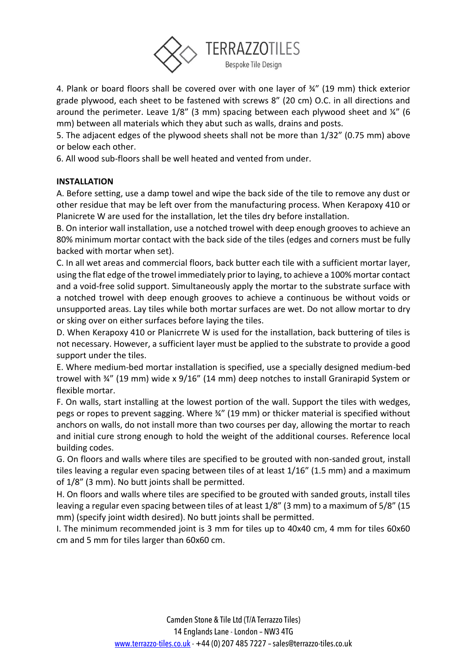

4. Plank or board floors shall be covered over with one layer of ¾" (19 mm) thick exterior grade plywood, each sheet to be fastened with screws 8" (20 cm) O.C. in all directions and around the perimeter. Leave 1/8" (3 mm) spacing between each plywood sheet and ¼" (6 mm) between all materials which they abut such as walls, drains and posts.

5. The adjacent edges of the plywood sheets shall not be more than 1/32" (0.75 mm) above or below each other.

6. All wood sub-floors shall be well heated and vented from under.

# **INSTALLATION**

A. Before setting, use a damp towel and wipe the back side of the tile to remove any dust or other residue that may be left over from the manufacturing process. When Kerapoxy 410 or Planicrete W are used for the installation, let the tiles dry before installation.

B. On interior wall installation, use a notched trowel with deep enough grooves to achieve an 80% minimum mortar contact with the back side of the tiles (edges and corners must be fully backed with mortar when set).

C. In all wet areas and commercial floors, back butter each tile with a sufficient mortar layer, using the flat edge of the trowel immediately prior to laying, to achieve a 100% mortar contact and a void-free solid support. Simultaneously apply the mortar to the substrate surface with a notched trowel with deep enough grooves to achieve a continuous be without voids or unsupported areas. Lay tiles while both mortar surfaces are wet. Do not allow mortar to dry or sking over on either surfaces before laying the tiles.

D. When Kerapoxy 410 or Planicrrete W is used for the installation, back buttering of tiles is not necessary. However, a sufficient layer must be applied to the substrate to provide a good support under the tiles.

E. Where medium-bed mortar installation is specified, use a specially designed medium-bed trowel with ¾" (19 mm) wide x 9/16" (14 mm) deep notches to install Granirapid System or flexible mortar.

F. On walls, start installing at the lowest portion of the wall. Support the tiles with wedges, pegs or ropes to prevent sagging. Where ¾" (19 mm) or thicker material is specified without anchors on walls, do not install more than two courses per day, allowing the mortar to reach and initial cure strong enough to hold the weight of the additional courses. Reference local building codes.

G. On floors and walls where tiles are specified to be grouted with non-sanded grout, install tiles leaving a regular even spacing between tiles of at least 1/16" (1.5 mm) and a maximum of 1/8" (3 mm). No butt joints shall be permitted.

H. On floors and walls where tiles are specified to be grouted with sanded grouts, install tiles leaving a regular even spacing between tiles of at least 1/8" (3 mm) to a maximum of 5/8" (15 mm) (specify joint width desired). No butt joints shall be permitted.

I. The minimum recommended joint is 3 mm for tiles up to 40x40 cm, 4 mm for tiles 60x60 cm and 5 mm for tiles larger than 60x60 cm.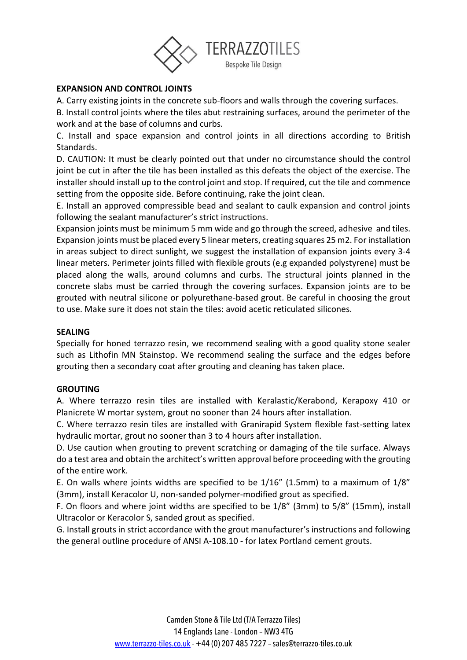

## **EXPANSION AND CONTROL JOINTS**

A. Carry existing joints in the concrete sub-floors and walls through the covering surfaces.

B. Install control joints where the tiles abut restraining surfaces, around the perimeter of the work and at the base of columns and curbs.

C. Install and space expansion and control joints in all directions according to British Standards.

D. CAUTION: It must be clearly pointed out that under no circumstance should the control joint be cut in after the tile has been installed as this defeats the object of the exercise. The installer should install up to the control joint and stop. If required, cut the tile and commence setting from the opposite side. Before continuing, rake the joint clean.

E. Install an approved compressible bead and sealant to caulk expansion and control joints following the sealant manufacturer's strict instructions.

Expansion joints must be minimum 5 mm wide and go through the screed, adhesive and tiles. Expansion joints must be placed every 5 linear meters, creating squares 25 m2. For installation in areas subject to direct sunlight, we suggest the installation of expansion joints every 3-4 linear meters. Perimeter joints filled with flexible grouts (e.g expanded polystyrene) must be placed along the walls, around columns and curbs. The structural joints planned in the concrete slabs must be carried through the covering surfaces. Expansion joints are to be grouted with neutral silicone or polyurethane-based grout. Be careful in choosing the grout to use. Make sure it does not stain the tiles: avoid acetic reticulated silicones.

#### **SEALING**

Specially for honed terrazzo resin, we recommend sealing with a good quality stone sealer such as Lithofin MN Stainstop. We recommend sealing the surface and the edges before grouting then a secondary coat after grouting and cleaning has taken place.

#### **GROUTING**

A. Where terrazzo resin tiles are installed with Keralastic/Kerabond, Kerapoxy 410 or Planicrete W mortar system, grout no sooner than 24 hours after installation.

C. Where terrazzo resin tiles are installed with Granirapid System flexible fast-setting latex hydraulic mortar, grout no sooner than 3 to 4 hours after installation.

D. Use caution when grouting to prevent scratching or damaging of the tile surface. Always do a test area and obtain the architect's written approval before proceeding with the grouting of the entire work.

E. On walls where joints widths are specified to be 1/16" (1.5mm) to a maximum of 1/8" (3mm), install Keracolor U, non-sanded polymer-modified grout as specified.

F. On floors and where joint widths are specified to be 1/8" (3mm) to 5/8" (15mm), install Ultracolor or Keracolor S, sanded grout as specified.

G. Install grouts in strict accordance with the grout manufacturer's instructions and following the general outline procedure of ANSI A-108.10 - for latex Portland cement grouts.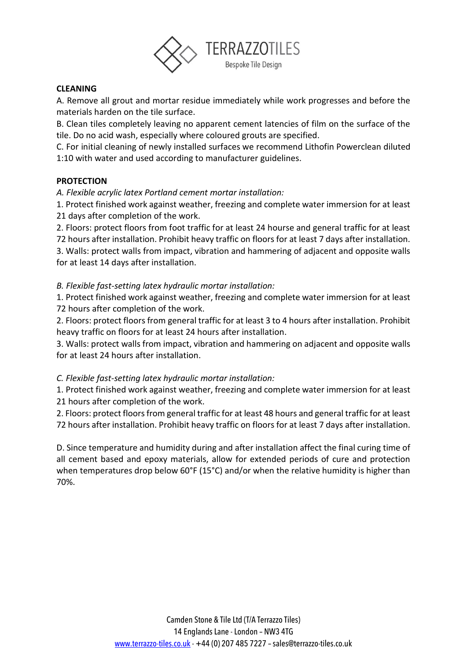

# **CLEANING**

A. Remove all grout and mortar residue immediately while work progresses and before the materials harden on the tile surface.

B. Clean tiles completely leaving no apparent cement latencies of film on the surface of the tile. Do no acid wash, especially where coloured grouts are specified.

C. For initial cleaning of newly installed surfaces we recommend Lithofin Powerclean diluted 1:10 with water and used according to manufacturer guidelines.

#### **PROTECTION**

*A. Flexible acrylic latex Portland cement mortar installation:* 

1. Protect finished work against weather, freezing and complete water immersion for at least 21 days after completion of the work.

2. Floors: protect floors from foot traffic for at least 24 hourse and general traffic for at least 72 hours after installation. Prohibit heavy traffic on floors for at least 7 days after installation. 3. Walls: protect walls from impact, vibration and hammering of adjacent and opposite walls

for at least 14 days after installation.

*B. Flexible fast-setting latex hydraulic mortar installation:* 

1. Protect finished work against weather, freezing and complete water immersion for at least 72 hours after completion of the work.

2. Floors: protect floors from general traffic for at least 3 to 4 hours after installation. Prohibit heavy traffic on floors for at least 24 hours after installation.

3. Walls: protect walls from impact, vibration and hammering on adjacent and opposite walls for at least 24 hours after installation.

# *C. Flexible fast-setting latex hydraulic mortar installation:*

1. Protect finished work against weather, freezing and complete water immersion for at least 21 hours after completion of the work.

2. Floors: protect floors from general traffic for at least 48 hours and general traffic for at least 72 hours after installation. Prohibit heavy traffic on floors for at least 7 days after installation.

D. Since temperature and humidity during and after installation affect the final curing time of all cement based and epoxy materials, allow for extended periods of cure and protection when temperatures drop below 60°F (15°C) and/or when the relative humidity is higher than 70%.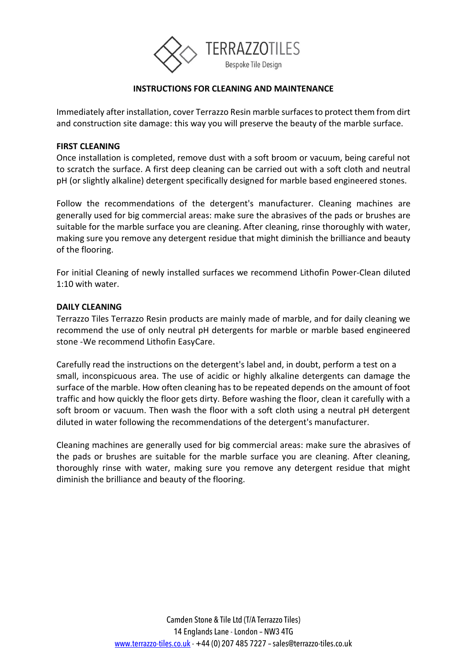

## **INSTRUCTIONS FOR CLEANING AND MAINTENANCE**

Immediately after installation, cover Terrazzo Resin marble surfaces to protect them from dirt and construction site damage: this way you will preserve the beauty of the marble surface.

#### **FIRST CLEANING**

Once installation is completed, remove dust with a soft broom or vacuum, being careful not to scratch the surface. A first deep cleaning can be carried out with a soft cloth and neutral pH (or slightly alkaline) detergent specifically designed for marble based engineered stones.

Follow the recommendations of the detergent's manufacturer. Cleaning machines are generally used for big commercial areas: make sure the abrasives of the pads or brushes are suitable for the marble surface you are cleaning. After cleaning, rinse thoroughly with water, making sure you remove any detergent residue that might diminish the brilliance and beauty of the flooring.

For initial Cleaning of newly installed surfaces we recommend Lithofin Power-Clean diluted 1:10 with water.

#### **DAILY CLEANING**

Terrazzo Tiles Terrazzo Resin products are mainly made of marble, and for daily cleaning we recommend the use of only neutral pH detergents for marble or marble based engineered stone -We recommend Lithofin EasyCare.

Carefully read the instructions on the detergent's label and, in doubt, perform a test on a small, inconspicuous area. The use of acidic or highly alkaline detergents can damage the surface of the marble. How often cleaning has to be repeated depends on the amount of foot traffic and how quickly the floor gets dirty. Before washing the floor, clean it carefully with a soft broom or vacuum. Then wash the floor with a soft cloth using a neutral pH detergent diluted in water following the recommendations of the detergent's manufacturer.

Cleaning machines are generally used for big commercial areas: make sure the abrasives of the pads or brushes are suitable for the marble surface you are cleaning. After cleaning, thoroughly rinse with water, making sure you remove any detergent residue that might diminish the brilliance and beauty of the flooring.